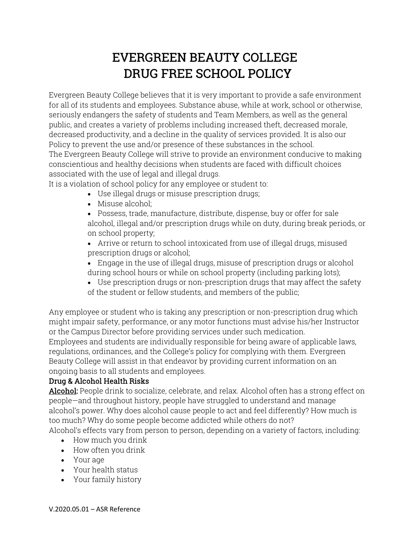# EVERGREEN BEAUTY COLLEGE DRUG FREE SCHOOL POLICY

Evergreen Beauty College believes that it is very important to provide a safe environment for all of its students and employees. Substance abuse, while at work, school or otherwise, seriously endangers the safety of students and Team Members, as well as the general public, and creates a variety of problems including increased theft, decreased morale, decreased productivity, and a decline in the quality of services provided. It is also our Policy to prevent the use and/or presence of these substances in the school. The Evergreen Beauty College will strive to provide an environment conducive to making

conscientious and healthy decisions when students are faced with difficult choices associated with the use of legal and illegal drugs.

It is a violation of school policy for any employee or student to:

- Use illegal drugs or misuse prescription drugs;
- Misuse alcohol;
- Possess, trade, manufacture, distribute, dispense, buy or offer for sale alcohol, illegal and/or prescription drugs while on duty, during break periods, or on school property;
- Arrive or return to school intoxicated from use of illegal drugs, misused prescription drugs or alcohol;
- Engage in the use of illegal drugs, misuse of prescription drugs or alcohol during school hours or while on school property (including parking lots);
- Use prescription drugs or non-prescription drugs that may affect the safety of the student or fellow students, and members of the public;

Any employee or student who is taking any prescription or non-prescription drug which might impair safety, performance, or any motor functions must advise his/her Instructor or the Campus Director before providing services under such medication. Employees and students are individually responsible for being aware of applicable laws, regulations, ordinances, and the College's policy for complying with them. Evergreen Beauty College will assist in that endeavor by providing current information on an ongoing basis to all students and employees.

# Drug & Alcohol Health Risks

Alcohol: People drink to socialize, celebrate, and relax. Alcohol often has a strong effect on people—and throughout history, people have struggled to understand and manage alcohol's power. Why does alcohol cause people to act and feel differently? How much is too much? Why do some people become addicted while others do not? Alcohol's effects vary from person to person, depending on a variety of factors, including:

- How much you drink
- How often you drink
- Your age
- Your health status
- Your family history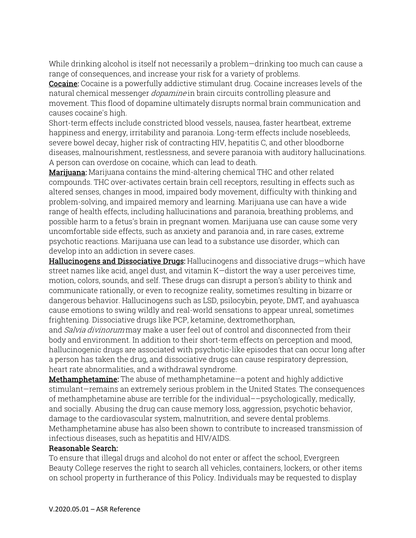While drinking alcohol is itself not necessarily a problem—drinking too much can cause a range of consequences, and increase your risk for a variety of problems.

**Cocaine:** Cocaine is a powerfully addictive stimulant drug. Cocaine increases levels of the natural chemical messenger *dopamine* in brain circuits controlling pleasure and movement. This flood of dopamine ultimately disrupts normal brain communication and causes cocaine's high.

Short-term effects include constricted blood vessels, nausea, faster heartbeat, extreme happiness and energy, irritability and paranoia. Long-term effects include nosebleeds, severe bowel decay, higher risk of contracting HIV, hepatitis C, and other bloodborne diseases, malnourishment, restlessness, and severe paranoia with auditory hallucinations. A person can overdose on cocaine, which can lead to death.

**Marijuana:** Marijuana contains the mind-altering chemical THC and other related compounds. THC over-activates certain brain cell receptors, resulting in effects such as altered senses, changes in mood, impaired body movement, difficulty with thinking and problem-solving, and impaired memory and learning. Marijuana use can have a wide range of health effects, including hallucinations and paranoia, breathing problems, and possible harm to a fetus's brain in pregnant women. Marijuana use can cause some very uncomfortable side effects, such as anxiety and paranoia and, in rare cases, extreme psychotic reactions. Marijuana use can lead to a substance use disorder, which can develop into an addiction in severe cases.

Hallucinogens and Dissociative Drugs: Hallucinogens and dissociative drugs—which have street names like acid, angel dust, and vitamin K—distort the way a user perceives time, motion, colors, sounds, and self. These drugs can disrupt a person's ability to think and communicate rationally, or even to recognize reality, sometimes resulting in bizarre or dangerous behavior. Hallucinogens such as LSD, psilocybin, peyote, DMT, and ayahuasca cause emotions to swing wildly and real-world sensations to appear unreal, sometimes frightening. Dissociative drugs like PCP, ketamine, dextromethorphan,

and *Salvia divinorum* may make a user feel out of control and disconnected from their body and environment. In addition to their short-term effects on perception and mood, hallucinogenic drugs are associated with psychotic-like episodes that can occur long after a person has taken the drug, and dissociative drugs can cause respiratory depression, heart rate abnormalities, and a withdrawal syndrome.

**Methamphetamine:** The abuse of methamphetamine—a potent and highly addictive stimulant—remains an extremely serious problem in the United States. The consequences of methamphetamine abuse are terrible for the individual––psychologically, medically, and socially. Abusing the drug can cause memory loss, aggression, psychotic behavior, damage to the cardiovascular system, malnutrition, and severe dental problems. Methamphetamine abuse has also been shown to contribute to increased transmission of infectious diseases, such as hepatitis and HIV/AIDS.

#### Reasonable Search:

To ensure that illegal drugs and alcohol do not enter or affect the school, Evergreen Beauty College reserves the right to search all vehicles, containers, lockers, or other items on school property in furtherance of this Policy. Individuals may be requested to display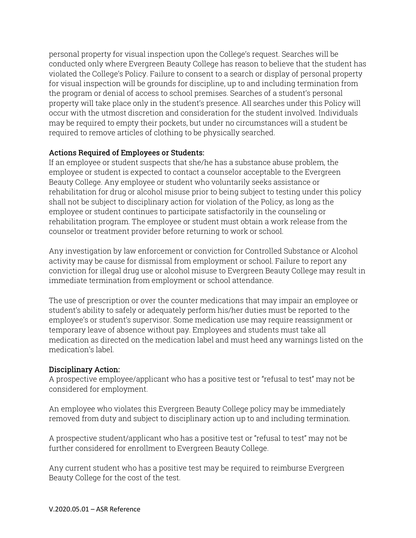personal property for visual inspection upon the College's request. Searches will be conducted only where Evergreen Beauty College has reason to believe that the student has violated the College's Policy. Failure to consent to a search or display of personal property for visual inspection will be grounds for discipline, up to and including termination from the program or denial of access to school premises. Searches of a student's personal property will take place only in the student's presence. All searches under this Policy will occur with the utmost discretion and consideration for the student involved. Individuals may be required to empty their pockets, but under no circumstances will a student be required to remove articles of clothing to be physically searched.

## Actions Required of Employees or Students:

If an employee or student suspects that she/he has a substance abuse problem, the employee or student is expected to contact a counselor acceptable to the Evergreen Beauty College. Any employee or student who voluntarily seeks assistance or rehabilitation for drug or alcohol misuse prior to being subject to testing under this policy shall not be subject to disciplinary action for violation of the Policy, as long as the employee or student continues to participate satisfactorily in the counseling or rehabilitation program. The employee or student must obtain a work release from the counselor or treatment provider before returning to work or school.

Any investigation by law enforcement or conviction for Controlled Substance or Alcohol activity may be cause for dismissal from employment or school. Failure to report any conviction for illegal drug use or alcohol misuse to Evergreen Beauty College may result in immediate termination from employment or school attendance.

The use of prescription or over the counter medications that may impair an employee or student's ability to safely or adequately perform his/her duties must be reported to the employee's or student's supervisor. Some medication use may require reassignment or temporary leave of absence without pay. Employees and students must take all medication as directed on the medication label and must heed any warnings listed on the medication's label.

## Disciplinary Action:

A prospective employee/applicant who has a positive test or "refusal to test" may not be considered for employment.

An employee who violates this Evergreen Beauty College policy may be immediately removed from duty and subject to disciplinary action up to and including termination.

A prospective student/applicant who has a positive test or "refusal to test" may not be further considered for enrollment to Evergreen Beauty College.

Any current student who has a positive test may be required to reimburse Evergreen Beauty College for the cost of the test.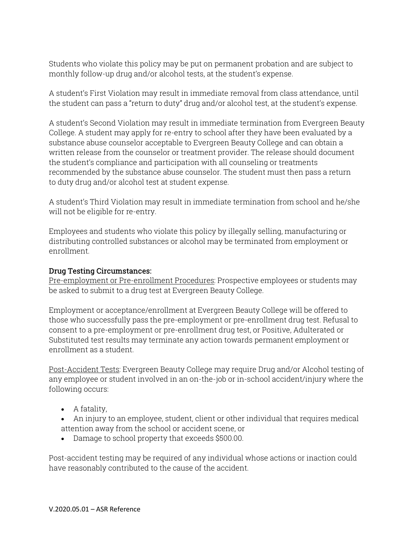Students who violate this policy may be put on permanent probation and are subject to monthly follow-up drug and/or alcohol tests, at the student's expense.

A student's First Violation may result in immediate removal from class attendance, until the student can pass a "return to duty" drug and/or alcohol test, at the student's expense.

A student's Second Violation may result in immediate termination from Evergreen Beauty College. A student may apply for re-entry to school after they have been evaluated by a substance abuse counselor acceptable to Evergreen Beauty College and can obtain a written release from the counselor or treatment provider. The release should document the student's compliance and participation with all counseling or treatments recommended by the substance abuse counselor. The student must then pass a return to duty drug and/or alcohol test at student expense.

A student's Third Violation may result in immediate termination from school and he/she will not be eligible for re-entry.

Employees and students who violate this policy by illegally selling, manufacturing or distributing controlled substances or alcohol may be terminated from employment or enrollment.

#### Drug Testing Circumstances:

Pre-employment or Pre-enrollment Procedures: Prospective employees or students may be asked to submit to a drug test at Evergreen Beauty College.

Employment or acceptance/enrollment at Evergreen Beauty College will be offered to those who successfully pass the pre-employment or pre-enrollment drug test. Refusal to consent to a pre-employment or pre-enrollment drug test, or Positive, Adulterated or Substituted test results may terminate any action towards permanent employment or enrollment as a student.

Post-Accident Tests: Evergreen Beauty College may require Drug and/or Alcohol testing of any employee or student involved in an on-the-job or in-school accident/injury where the following occurs:

- A fatality,
- An injury to an employee, student, client or other individual that requires medical attention away from the school or accident scene, or
- Damage to school property that exceeds \$500.00.

Post-accident testing may be required of any individual whose actions or inaction could have reasonably contributed to the cause of the accident.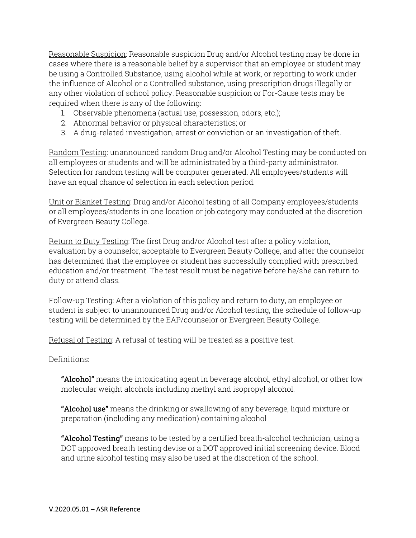Reasonable Suspicion: Reasonable suspicion Drug and/or Alcohol testing may be done in cases where there is a reasonable belief by a supervisor that an employee or student may be using a Controlled Substance, using alcohol while at work, or reporting to work under the influence of Alcohol or a Controlled substance, using prescription drugs illegally or any other violation of school policy. Reasonable suspicion or For-Cause tests may be required when there is any of the following:

- 1. Observable phenomena (actual use, possession, odors, etc.);
- 2. Abnormal behavior or physical characteristics; or
- 3. A drug-related investigation, arrest or conviction or an investigation of theft.

Random Testing: unannounced random Drug and/or Alcohol Testing may be conducted on all employees or students and will be administrated by a third-party administrator. Selection for random testing will be computer generated. All employees/students will have an equal chance of selection in each selection period.

Unit or Blanket Testing: Drug and/or Alcohol testing of all Company employees/students or all employees/students in one location or job category may conducted at the discretion of Evergreen Beauty College.

Return to Duty Testing: The first Drug and/or Alcohol test after a policy violation, evaluation by a counselor, acceptable to Evergreen Beauty College, and after the counselor has determined that the employee or student has successfully complied with prescribed education and/or treatment. The test result must be negative before he/she can return to duty or attend class.

Follow-up Testing: After a violation of this policy and return to duty, an employee or student is subject to unannounced Drug and/or Alcohol testing, the schedule of follow-up testing will be determined by the EAP/counselor or Evergreen Beauty College.

Refusal of Testing: A refusal of testing will be treated as a positive test.

Definitions:

"Alcohol" means the intoxicating agent in beverage alcohol, ethyl alcohol, or other low molecular weight alcohols including methyl and isopropyl alcohol.

**"Alcohol use"** means the drinking or swallowing of any beverage, liquid mixture or preparation (including any medication) containing alcohol

**"Alcohol Testing"** means to be tested by a certified breath-alcohol technician, using a DOT approved breath testing devise or a DOT approved initial screening device. Blood and urine alcohol testing may also be used at the discretion of the school.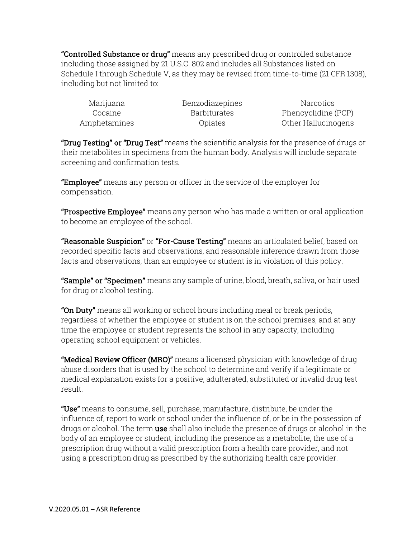"Controlled Substance or drug" means any prescribed drug or controlled substance including those assigned by 21 U.S.C. 802 and includes all Substances listed on Schedule I through Schedule V, as they may be revised from time-to-time (21 CFR 1308), including but not limited to:

| Marijuana    |  |
|--------------|--|
| Cocaine      |  |
| Amphetamines |  |

Benzodiazepines Narcotics Barbiturates Phencyclidine (PCP) Amphetamines Opiates Other Hallucinogens

"Drug Testing" or "Drug Test" means the scientific analysis for the presence of drugs or their metabolites in specimens from the human body. Analysis will include separate screening and confirmation tests.

**"Employee"** means any person or officer in the service of the employer for compensation.

**"Prospective Employee"** means any person who has made a written or oral application to become an employee of the school.

**"Reasonable Suspicion"** or **"For-Cause Testing"** means an articulated belief, based on recorded specific facts and observations, and reasonable inference drawn from those facts and observations, than an employee or student is in violation of this policy.

"Sample" or "Specimen" means any sample of urine, blood, breath, saliva, or hair used for drug or alcohol testing.

"On Duty" means all working or school hours including meal or break periods, regardless of whether the employee or student is on the school premises, and at any time the employee or student represents the school in any capacity, including operating school equipment or vehicles.

"Medical Review Officer (MRO)" means a licensed physician with knowledge of drug abuse disorders that is used by the school to determine and verify if a legitimate or medical explanation exists for a positive, adulterated, substituted or invalid drug test result.

"Use" means to consume, sell, purchase, manufacture, distribute, be under the influence of, report to work or school under the influence of, or be in the possession of drugs or alcohol. The term **use** shall also include the presence of drugs or alcohol in the body of an employee or student, including the presence as a metabolite, the use of a prescription drug without a valid prescription from a health care provider, and not using a prescription drug as prescribed by the authorizing health care provider.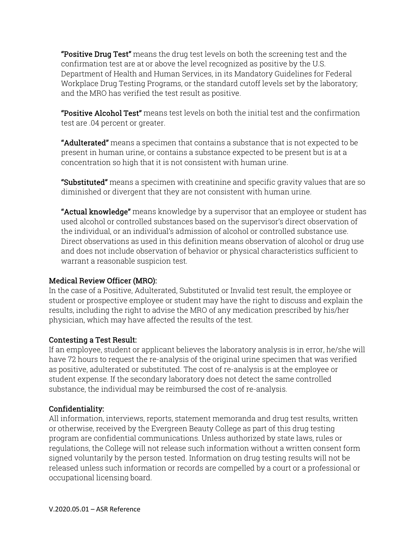**"Positive Drug Test"** means the drug test levels on both the screening test and the confirmation test are at or above the level recognized as positive by the U.S. Department of Health and Human Services, in its Mandatory Guidelines for Federal Workplace Drug Testing Programs, or the standard cutoff levels set by the laboratory; and the MRO has verified the test result as positive.

"Positive Alcohol Test" means test levels on both the initial test and the confirmation test are .04 percent or greater.

"Adulterated" means a specimen that contains a substance that is not expected to be present in human urine, or contains a substance expected to be present but is at a concentration so high that it is not consistent with human urine.

**"Substituted"** means a specimen with creatinine and specific gravity values that are so diminished or divergent that they are not consistent with human urine.

**"Actual knowledge"** means knowledge by a supervisor that an employee or student has used alcohol or controlled substances based on the supervisor's direct observation of the individual, or an individual's admission of alcohol or controlled substance use. Direct observations as used in this definition means observation of alcohol or drug use and does not include observation of behavior or physical characteristics sufficient to warrant a reasonable suspicion test.

## Medical Review Officer (MRO):

In the case of a Positive, Adulterated, Substituted or Invalid test result, the employee or student or prospective employee or student may have the right to discuss and explain the results, including the right to advise the MRO of any medication prescribed by his/her physician, which may have affected the results of the test.

## Contesting a Test Result:

If an employee, student or applicant believes the laboratory analysis is in error, he/she will have 72 hours to request the re-analysis of the original urine specimen that was verified as positive, adulterated or substituted. The cost of re-analysis is at the employee or student expense. If the secondary laboratory does not detect the same controlled substance, the individual may be reimbursed the cost of re-analysis.

## Confidentiality:

All information, interviews, reports, statement memoranda and drug test results, written or otherwise, received by the Evergreen Beauty College as part of this drug testing program are confidential communications. Unless authorized by state laws, rules or regulations, the College will not release such information without a written consent form signed voluntarily by the person tested. Information on drug testing results will not be released unless such information or records are compelled by a court or a professional or occupational licensing board.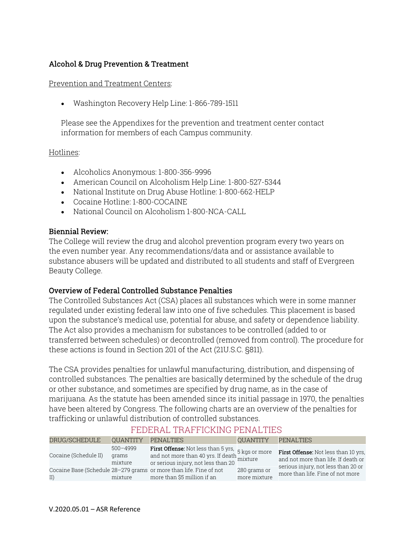## Alcohol & Drug Prevention & Treatment

#### Prevention and Treatment Centers:

Washington Recovery Help Line: 1-866-789-1511

Please see the Appendixes for the prevention and treatment center contact information for members of each Campus community.

Hotlines:

- Alcoholics Anonymous: 1-800-356-9996
- American Council on Alcoholism Help Line: 1-800-527-5344
- National Institute on Drug Abuse Hotline: 1-800-662-HELP
- Cocaine Hotline: 1-800-COCAINE
- National Council on Alcoholism 1-800-NCA-CALL

#### Biennial Review:

The College will review the drug and alcohol prevention program every two years on the even number year. Any recommendations/data and or assistance available to substance abusers will be updated and distributed to all students and staff of Evergreen Beauty College.

#### Overview of Federal Controlled Substance Penalties

The Controlled Substances Act (CSA) places all substances which were in some manner regulated under existing federal law into one of five schedules. This placement is based upon the substance's medical use, potential for abuse, and safety or dependence liability. The Act also provides a mechanism for substances to be controlled (added to or transferred between schedules) or decontrolled (removed from control). The procedure for these actions is found in Section 201 of the Act (21U.S.C. §811).

The CSA provides penalties for unlawful manufacturing, distribution, and dispensing of controlled substances. The penalties are basically determined by the schedule of the drug or other substance, and sometimes are specified by drug name, as in the case of marijuana. As the statute has been amended since its initial passage in 1970, the penalties have been altered by Congress. The following charts are an overview of the penalties for trafficking or unlawful distribution of controlled substances.

| DRUG/SCHEDULE         | <b>OUANTITY</b>                  | <b>PENALTIES</b>                                                                                                                                | <b>OUANTITY</b>              | <b>PENALTIES</b>                                                                                                          |
|-----------------------|----------------------------------|-------------------------------------------------------------------------------------------------------------------------------------------------|------------------------------|---------------------------------------------------------------------------------------------------------------------------|
| Cocaine (Schedule II) | $500 - 4999$<br>grams<br>mixture | <b>First Offense:</b> Not less than 5 yrs, 5 kgs or more<br>and not more than 40 yrs. If death 5 mixture<br>or serious injury, not less than 20 |                              | <b>First Offense:</b> Not less than 10 yrs.<br>and not more than life. If death or<br>serious injury, not less than 20 or |
| II)                   | mixture                          | Cocaine Base (Schedule 28-279 grams or more than life. Fine of not<br>more than \$5 million if an                                               | 280 grams or<br>more mixture | more than life. Fine of not more                                                                                          |

# FEDERAL TRAFFICKING PENALTIES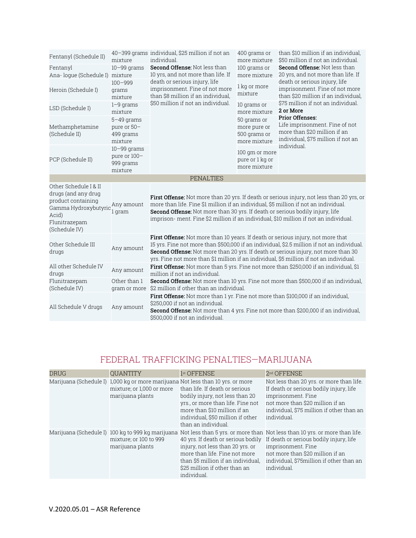| Fentanyl (Schedule II)                                                                                                                | mixture                                               | 40-399 grams individual, \$25 million if not an<br>individual.                                                                                                                                                                                                    | 400 grams or<br>more mixture                                | than \$10 million if an individual.<br>\$50 million if not an individual.                                                      |
|---------------------------------------------------------------------------------------------------------------------------------------|-------------------------------------------------------|-------------------------------------------------------------------------------------------------------------------------------------------------------------------------------------------------------------------------------------------------------------------|-------------------------------------------------------------|--------------------------------------------------------------------------------------------------------------------------------|
| Fentanyl<br>Ana-loque (Schedule I)                                                                                                    | $10 - 99$ grams<br>mixture                            | Second Offense: Not less than<br>10 yrs, and not more than life. If                                                                                                                                                                                               | 100 grams or<br>more mixture                                | <b>Second Offense: Not less than</b><br>20 yrs, and not more than life. If                                                     |
| Heroin (Schedule I)                                                                                                                   | $100 - 999$<br>grams<br>mixture                       | death or serious injury, life<br>imprisonment. Fine of not more<br>than \$8 million if an individual,                                                                                                                                                             | 1 kg or more<br>mixture                                     | death or serious injury, life<br>imprisonment. Fine of not more<br>than \$20 million if an individual,                         |
| LSD (Schedule I)                                                                                                                      | $1-9$ grams<br>mixture                                | \$50 million if not an individual.                                                                                                                                                                                                                                | 10 grams or<br>more mixture                                 | \$75 million if not an individual.<br>2 or More                                                                                |
| Methamphetamine<br>(Schedule II)                                                                                                      | $5-49$ grams<br>pure or 50-<br>499 grams<br>mixture   |                                                                                                                                                                                                                                                                   | 50 grams or<br>more pure or<br>500 grams or<br>more mixture | <b>Prior Offenses:</b><br>Life imprisonment. Fine of not<br>more than \$20 million if an<br>individual, \$75 million if not an |
| PCP (Schedule II)                                                                                                                     | $10-99$ grams<br>pure or 100-<br>999 grams<br>mixture |                                                                                                                                                                                                                                                                   | 100 qm or more<br>pure or 1 kg or<br>more mixture           | individual.                                                                                                                    |
|                                                                                                                                       |                                                       | <b>PENALTIES</b>                                                                                                                                                                                                                                                  |                                                             |                                                                                                                                |
| Other Schedule I & II<br>drugs (and any drug<br>product containing<br>Gamma Hydroxybutyric<br>Acid)<br>Flunitrazepam<br>(Schedule IV) | Any amount<br>1 gram                                  | more than life. Fine \$1 million if an individual, \$5 million if not an individual.<br>Second Offense: Not more than 30 yrs. If death or serious bodily injury, life<br>imprison-ment. Fine \$2 million if an individual, \$10 million if not an individual.     |                                                             | First Offense: Not more than 20 yrs. If death or serious injury, not less than 20 yrs, or                                      |
| Other Schedule III<br>drugs                                                                                                           | Any amount                                            | First Offense: Not more than 10 years. If death or serious injury, not more that<br>Second Offense: Not more than 20 yrs. If death or serious injury, not more than 30<br>yrs. Fine not more than \$1 million if an individual, \$5 million if not an individual. |                                                             | 15 yrs. Fine not more than \$500,000 if an individual, \$2.5 million if not an individual.                                     |
| All other Schedule IV<br>drugs                                                                                                        | Any amount                                            | First Offense: Not more than 5 yrs. Fine not more than \$250,000 if an individual, \$1<br>million if not an individual.                                                                                                                                           |                                                             |                                                                                                                                |
| Flunitrazepam<br>(Schedule IV)                                                                                                        | Other than 1<br>gram or more                          | \$2 million if other than an individual.                                                                                                                                                                                                                          |                                                             | <b>Second Offense:</b> Not more than 10 yrs. Fine not more than \$500,000 if an individual,                                    |
| All Schedule V drugs                                                                                                                  | Any amount                                            | <b>First Offense:</b> Not more than 1 yr. Fine not more than \$100,000 if an individual,<br>\$250,000 if not an individual.<br><b>Second Offense:</b> Not more than 4 yrs. Fine not more than \$200,000 if an individual,<br>\$500,000 if not an individual.      |                                                             |                                                                                                                                |

# FEDERAL TRAFFICKING PENALTIES—MARIJUANA

| <b>DRUG</b> | <b>OUANTITY</b>                               | 1 <sup>st</sup> OFFENSE                                                                                                                                                                                                                                                               | 2 <sup>nd</sup> OFFENSE                                                                                                                                                                                                                                                                       |
|-------------|-----------------------------------------------|---------------------------------------------------------------------------------------------------------------------------------------------------------------------------------------------------------------------------------------------------------------------------------------|-----------------------------------------------------------------------------------------------------------------------------------------------------------------------------------------------------------------------------------------------------------------------------------------------|
|             | mixture; or 1,000 or more<br>marijuana plants | Marijuana (Schedule I) 1,000 kg or more marijuana Not less than 10 yrs. or more<br>than life. If death or serious<br>bodily injury, not less than 20<br>yrs., or more than life. Fine not<br>more than \$10 million if an<br>individual, \$50 million if other<br>than an individual. | Not less than 20 yrs. or more than life.<br>If death or serious bodily injury, life<br>imprisonment. Fine<br>not more than \$20 million if an<br>individual, \$75 million if other than an<br>individual.                                                                                     |
|             | mixture; or 100 to 999<br>marijuana plants    | 40 yrs. If death or serious bodily<br>injury, not less than 20 yrs. or<br>more than life. Fine not more<br>than \$5 million if an individual.<br>\$25 million if other than an<br>individual.                                                                                         | Marijuana (Schedule I) 100 kg to 999 kg marijuana Not less than 5 yrs. or more than Not less than 10 yrs. or more than life.<br>If death or serious bodily injury, life<br>imprisonment. Fine<br>not more than \$20 million if an<br>individual, \$75 million if other than an<br>individual. |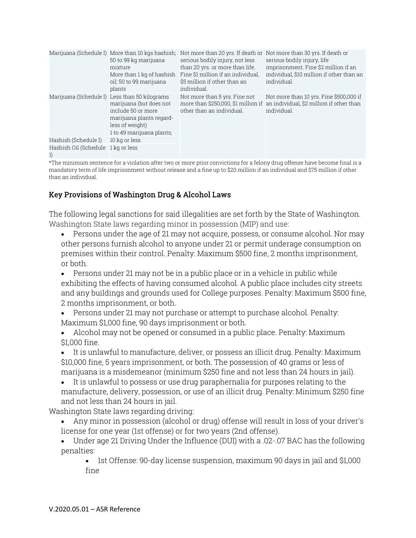|                                          | 50 to 99 kg marijuana<br>mixture<br>More than 1 kg of hashish<br>oil; 50 to 99 marijuana<br>plants                                                                         | Marijuana (Schedule I) More than 10 kgs hashish; Not more than 20 yrs. If death or Not more than 30 yrs. If death or<br>serious bodily injury, not less<br>than 20 yrs. or more than life.<br>Fine \$1 million if an individual.<br>\$5 million if other than an<br>individual. | serious bodily injury, life<br>imprisonment. Fine \$2 million if an<br>individual, \$10 million if other than an<br>individual.        |
|------------------------------------------|----------------------------------------------------------------------------------------------------------------------------------------------------------------------------|---------------------------------------------------------------------------------------------------------------------------------------------------------------------------------------------------------------------------------------------------------------------------------|----------------------------------------------------------------------------------------------------------------------------------------|
|                                          | Marijuana (Schedule I) Less than 50 kilograms<br>marijuana (but does not<br>include 50 or more<br>marijuana plants regard-<br>less of weight)<br>1 to 49 marijuana plants; | Not more than 5 yrs. Fine not<br>other than an individual.                                                                                                                                                                                                                      | Not more than 10 yrs. Fine \$500,000 if<br>more than \$250,000, \$1 million if an individual, \$2 million if other than<br>individual. |
| Hashish (Schedule I)                     | 10 kg or less                                                                                                                                                              |                                                                                                                                                                                                                                                                                 |                                                                                                                                        |
| Hashish Oil (Schedule 1 kg or less<br>I) |                                                                                                                                                                            |                                                                                                                                                                                                                                                                                 |                                                                                                                                        |

\*The minimum sentence for a violation after two or more prior convictions for a felony drug offense have become final is a mandatory term of life imprisonment without release and a fine up to \$20 million if an individual and \$75 million if other than an individual.

## Key Provisions of Washington Drug & Alcohol Laws

The following legal sanctions for said illegalities are set forth by the State of Washington. Washington State laws regarding minor in possession (MIP) and use:

 Persons under the age of 21 may not acquire, possess, or consume alcohol. Nor may other persons furnish alcohol to anyone under 21 or permit underage consumption on premises within their control. Penalty: Maximum \$500 fine, 2 months imprisonment, or both.

 Persons under 21 may not be in a public place or in a vehicle in public while exhibiting the effects of having consumed alcohol. A public place includes city streets and any buildings and grounds used for College purposes. Penalty: Maximum \$500 fine, 2 months imprisonment, or both.

 Persons under 21 may not purchase or attempt to purchase alcohol. Penalty: Maximum \$1,000 fine, 90 days imprisonment or both.

 Alcohol may not be opened or consumed in a public place. Penalty: Maximum \$1,000 fine.

 It is unlawful to manufacture, deliver, or possess an illicit drug. Penalty: Maximum \$10,000 fine, 5 years imprisonment, or both. The possession of 40 grams or less of marijuana is a misdemeanor (minimum \$250 fine and not less than 24 hours in jail).

 It is unlawful to possess or use drug paraphernalia for purposes relating to the manufacture, delivery, possession, or use of an illicit drug. Penalty: Minimum \$250 fine and not less than 24 hours in jail.

Washington State laws regarding driving:

 Any minor in possession (alcohol or drug) offense will result in loss of your driver's license for one year (1st offense) or for two years (2nd offense).

 Under age 21 Driving Under the Influence (DUI) with a .02-.07 BAC has the following penalties:

 1st Offense: 90-day license suspension, maximum 90 days in jail and \$1,000 fine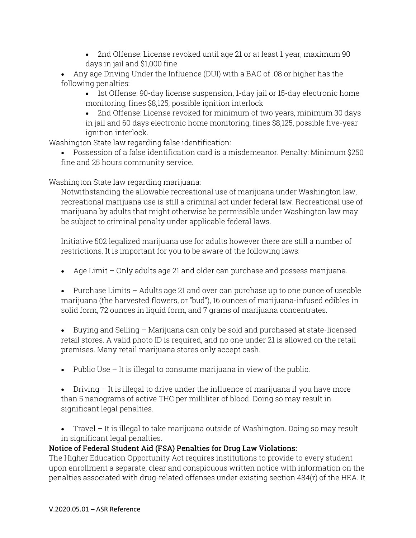- 2nd Offense: License revoked until age 21 or at least 1 year, maximum 90 days in jail and \$1,000 fine
- Any age Driving Under the Influence (DUI) with a BAC of .08 or higher has the following penalties:
	- 1st Offense: 90-day license suspension, 1-day jail or 15-day electronic home monitoring, fines \$8,125, possible ignition interlock
	- 2nd Offense: License revoked for minimum of two years, minimum 30 days in jail and 60 days electronic home monitoring, fines \$8,125, possible five-year ignition interlock.

Washington State law regarding false identification:

 Possession of a false identification card is a misdemeanor. Penalty: Minimum \$250 fine and 25 hours community service.

Washington State law regarding marijuana:

Notwithstanding the allowable recreational use of marijuana under Washington law, recreational marijuana use is still a criminal act under federal law. Recreational use of marijuana by adults that might otherwise be permissible under Washington law may be subject to criminal penalty under applicable federal laws.

Initiative 502 legalized marijuana use for adults however there are still a number of restrictions. It is important for you to be aware of the following laws:

Age Limit – Only adults age 21 and older can purchase and possess marijuana.

 Purchase Limits – Adults age 21 and over can purchase up to one ounce of useable marijuana (the harvested flowers, or "bud"), 16 ounces of marijuana-infused edibles in solid form, 72 ounces in liquid form, and 7 grams of marijuana concentrates.

 Buying and Selling – Marijuana can only be sold and purchased at state-licensed retail stores. A valid photo ID is required, and no one under 21 is allowed on the retail premises. Many retail marijuana stores only accept cash.

• Public Use  $-$  It is illegal to consume marijuana in view of the public.

 $\bullet$  Driving  $-$  It is illegal to drive under the influence of marijuana if you have more than 5 nanograms of active THC per milliliter of blood. Doing so may result in significant legal penalties.

 Travel – It is illegal to take marijuana outside of Washington. Doing so may result in significant legal penalties.

# Notice of Federal Student Aid (FSA) Penalties for Drug Law Violations:

The Higher Education Opportunity Act requires institutions to provide to every student upon enrollment a separate, clear and conspicuous written notice with information on the penalties associated with drug-related offenses under existing section 484(r) of the HEA. It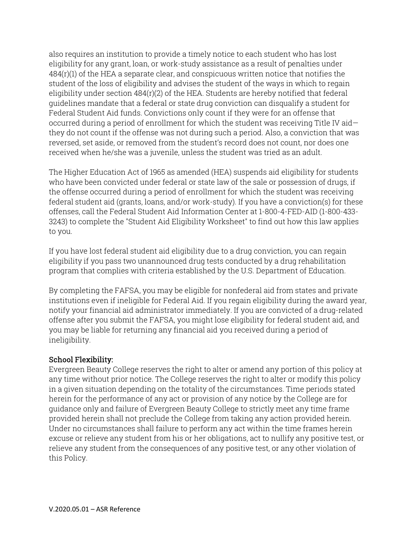also requires an institution to provide a timely notice to each student who has lost eligibility for any grant, loan, or work-study assistance as a result of penalties under 484(r)(1) of the HEA a separate clear, and conspicuous written notice that notifies the student of the loss of eligibility and advises the student of the ways in which to regain eligibility under section 484(r)(2) of the HEA. Students are hereby notified that federal guidelines mandate that a federal or state drug conviction can disqualify a student for Federal Student Aid funds. Convictions only count if they were for an offense that occurred during a period of enrollment for which the student was receiving Title IV aid they do not count if the offense was not during such a period. Also, a conviction that was reversed, set aside, or removed from the student's record does not count, nor does one received when he/she was a juvenile, unless the student was tried as an adult.

The Higher Education Act of 1965 as amended (HEA) suspends aid eligibility for students who have been convicted under federal or state law of the sale or possession of drugs, if the offense occurred during a period of enrollment for which the student was receiving federal student aid (grants, loans, and/or work-study). If you have a conviction(s) for these offenses, call the Federal Student Aid Information Center at 1-800-4-FED-AID (1-800-433- 3243) to complete the "Student Aid Eligibility Worksheet" to find out how this law applies to you.

If you have lost federal student aid eligibility due to a drug conviction, you can regain eligibility if you pass two unannounced drug tests conducted by a drug rehabilitation program that complies with criteria established by the U.S. Department of Education.

By completing the FAFSA, you may be eligible for nonfederal aid from states and private institutions even if ineligible for Federal Aid. If you regain eligibility during the award year, notify your financial aid administrator immediately. If you are convicted of a drug-related offense after you submit the FAFSA, you might lose eligibility for federal student aid, and you may be liable for returning any financial aid you received during a period of ineligibility.

#### School Flexibility:

Evergreen Beauty College reserves the right to alter or amend any portion of this policy at any time without prior notice. The College reserves the right to alter or modify this policy in a given situation depending on the totality of the circumstances. Time periods stated herein for the performance of any act or provision of any notice by the College are for guidance only and failure of Evergreen Beauty College to strictly meet any time frame provided herein shall not preclude the College from taking any action provided herein. Under no circumstances shall failure to perform any act within the time frames herein excuse or relieve any student from his or her obligations, act to nullify any positive test, or relieve any student from the consequences of any positive test, or any other violation of this Policy.